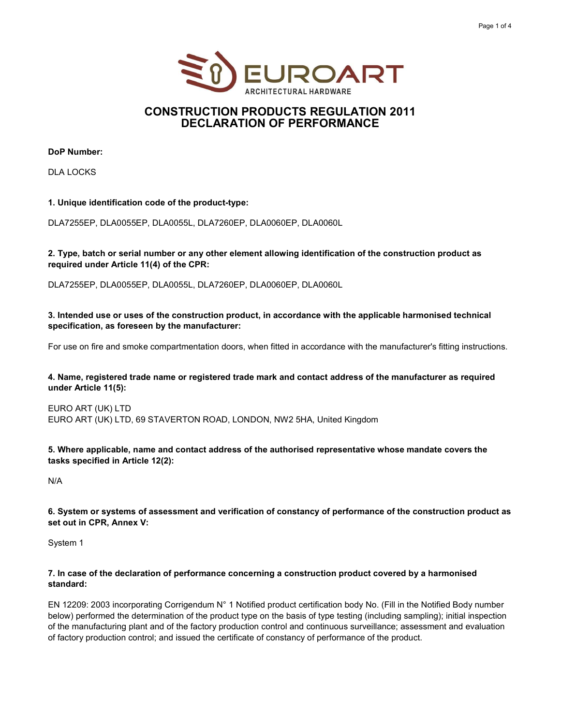



### CONSTRUCTION PRODUCTS REGULATION 2011 DECLARATION OF PERFORMANCE

DoP Number:

DLA LOCKS

#### 1. Unique identification code of the product-type:

DLA7255EP, DLA0055EP, DLA0055L, DLA7260EP, DLA0060EP, DLA0060L

#### 2. Type, batch or serial number or any other element allowing identification of the construction product as required under Article 11(4) of the CPR:

DLA7255EP, DLA0055EP, DLA0055L, DLA7260EP, DLA0060EP, DLA0060L

3. Intended use or uses of the construction product, in accordance with the applicable harmonised technical specification, as foreseen by the manufacturer:

For use on fire and smoke compartmentation doors, when fitted in accordance with the manufacturer's fitting instructions.

#### 4. Name, registered trade name or registered trade mark and contact address of the manufacturer as required under Article 11(5):

EURO ART (UK) LTD EURO ART (UK) LTD, 69 STAVERTON ROAD, LONDON, NW2 5HA, United Kingdom

5. Where applicable, name and contact address of the authorised representative whose mandate covers the tasks specified in Article 12(2):

N/A

6. System or systems of assessment and verification of constancy of performance of the construction product as set out in CPR, Annex V:

System 1

#### 7. In case of the declaration of performance concerning a construction product covered by a harmonised standard:

EN 12209: 2003 incorporating Corrigendum N° 1 Notified product certification body No. (Fill in the Notified Body number below) performed the determination of the product type on the basis of type testing (including sampling); initial inspection of the manufacturing plant and of the factory production control and continuous surveillance; assessment and evaluation of factory production control; and issued the certificate of constancy of performance of the product.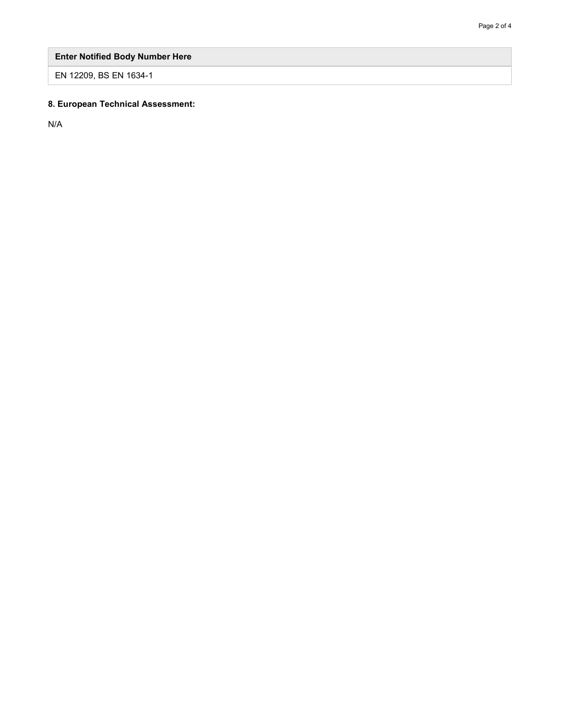# Enter Notified Body Number Here

EN 12209, BS EN 1634-1

## 8. European Technical Assessment:

N/A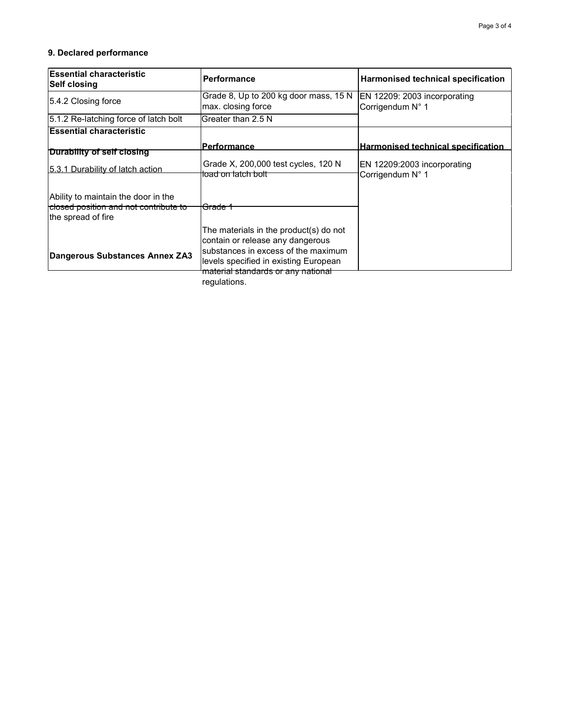### 9. Declared performance

| <b>Essential characteristic</b><br> Self closing                                                              | <b>Performance</b>                                                                                                                                         | Harmonised technical specification               |
|---------------------------------------------------------------------------------------------------------------|------------------------------------------------------------------------------------------------------------------------------------------------------------|--------------------------------------------------|
| 5.4.2 Closing force                                                                                           | Grade 8, Up to 200 kg door mass, 15 N<br>max. closing force                                                                                                | EN 12209: 2003 incorporating<br>Corrigendum N° 1 |
| 5.1.2 Re-latching force of latch bolt                                                                         | Greater than 2.5 N                                                                                                                                         |                                                  |
| <b>Essential characteristic</b>                                                                               |                                                                                                                                                            |                                                  |
| Durability of self closing                                                                                    | <u> Performance_</u>                                                                                                                                       | Harmonised technical specification               |
| 5.3.1 Durability of latch action                                                                              | Grade X, 200,000 test cycles, 120 N<br>lload on latch bolt <sup>.</sup>                                                                                    | EN 12209:2003 incorporating<br>Corrigendum N° 1  |
| Ability to maintain the door in the<br><del>closed position and not contribute to</del><br>the spread of fire | l <del>Grade 1</del>                                                                                                                                       |                                                  |
| Dangerous Substances Annex ZA3                                                                                | The materials in the product(s) do not<br>contain or release any dangerous<br>substances in excess of the maximum<br>levels specified in existing European |                                                  |
|                                                                                                               | <del>material standards or any national</del><br>regulations.                                                                                              |                                                  |